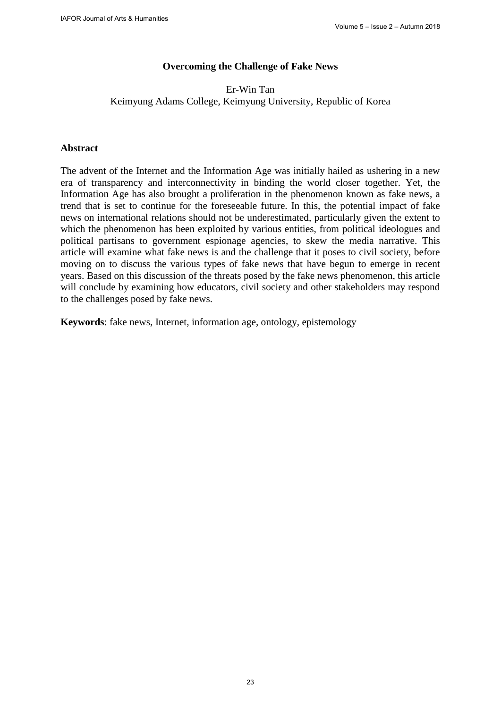## **Overcoming the Challenge of Fake News**

## Er-Win Tan Keimyung Adams College, Keimyung University, Republic of Korea

### **Abstract**

The advent of the Internet and the Information Age was initially hailed as ushering in a new era of transparency and interconnectivity in binding the world closer together. Yet, the Information Age has also brought a proliferation in the phenomenon known as fake news, a trend that is set to continue for the foreseeable future. In this, the potential impact of fake news on international relations should not be underestimated, particularly given the extent to which the phenomenon has been exploited by various entities, from political ideologues and political partisans to government espionage agencies, to skew the media narrative. This article will examine what fake news is and the challenge that it poses to civil society, before moving on to discuss the various types of fake news that have begun to emerge in recent years. Based on this discussion of the threats posed by the fake news phenomenon, this article will conclude by examining how educators, civil society and other stakeholders may respond to the challenges posed by fake news.

**Keywords**: fake news, Internet, information age, ontology, epistemology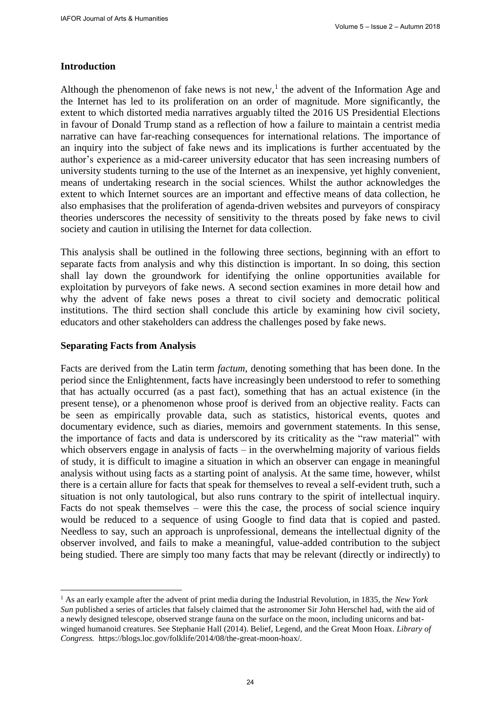### **Introduction**

Although the phenomenon of fake news is not new,<sup>1</sup> the advent of the Information Age and the Internet has led to its proliferation on an order of magnitude. More significantly, the extent to which distorted media narratives arguably tilted the 2016 US Presidential Elections in favour of Donald Trump stand as a reflection of how a failure to maintain a centrist media narrative can have far-reaching consequences for international relations. The importance of an inquiry into the subject of fake news and its implications is further accentuated by the author's experience as a mid-career university educator that has seen increasing numbers of university students turning to the use of the Internet as an inexpensive, yet highly convenient, means of undertaking research in the social sciences. Whilst the author acknowledges the extent to which Internet sources are an important and effective means of data collection, he also emphasises that the proliferation of agenda-driven websites and purveyors of conspiracy theories underscores the necessity of sensitivity to the threats posed by fake news to civil society and caution in utilising the Internet for data collection.

This analysis shall be outlined in the following three sections, beginning with an effort to separate facts from analysis and why this distinction is important. In so doing, this section shall lay down the groundwork for identifying the online opportunities available for exploitation by purveyors of fake news. A second section examines in more detail how and why the advent of fake news poses a threat to civil society and democratic political institutions. The third section shall conclude this article by examining how civil society, educators and other stakeholders can address the challenges posed by fake news.

### **Separating Facts from Analysis**

Facts are derived from the Latin term *factum*, denoting something that has been done. In the period since the Enlightenment, facts have increasingly been understood to refer to something that has actually occurred (as a past fact), something that has an actual existence (in the present tense), or a phenomenon whose proof is derived from an objective reality. Facts can be seen as empirically provable data, such as statistics, historical events, quotes and documentary evidence, such as diaries, memoirs and government statements. In this sense, the importance of facts and data is underscored by its criticality as the "raw material" with which observers engage in analysis of facts  $-$  in the overwhelming majority of various fields of study, it is difficult to imagine a situation in which an observer can engage in meaningful analysis without using facts as a starting point of analysis. At the same time, however, whilst there is a certain allure for facts that speak for themselves to reveal a self-evident truth, such a situation is not only tautological, but also runs contrary to the spirit of intellectual inquiry. Facts do not speak themselves – were this the case, the process of social science inquiry would be reduced to a sequence of using Google to find data that is copied and pasted. Needless to say, such an approach is unprofessional, demeans the intellectual dignity of the observer involved, and fails to make a meaningful, value-added contribution to the subject being studied. There are simply too many facts that may be relevant (directly or indirectly) to

<sup>1</sup> As an early example after the advent of print media during the Industrial Revolution, in 1835, the *New York Sun* published a series of articles that falsely claimed that the astronomer Sir John Herschel had, with the aid of a newly designed telescope, observed strange fauna on the surface on the moon, including unicorns and batwinged humanoid creatures. See Stephanie Hall (2014). Belief, Legend, and the Great Moon Hoax. *Library of Congress.* [https://blogs.loc.gov/folklife/2014/08/the-great-moon-hoax/.](https://blogs.loc.gov/folklife/2014/08/the-great-moon-hoax/)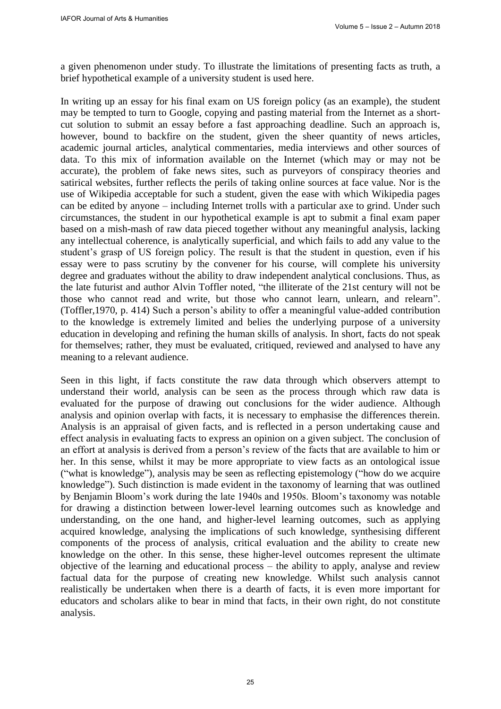a given phenomenon under study. To illustrate the limitations of presenting facts as truth, a brief hypothetical example of a university student is used here.

In writing up an essay for his final exam on US foreign policy (as an example), the student may be tempted to turn to Google, copying and pasting material from the Internet as a shortcut solution to submit an essay before a fast approaching deadline. Such an approach is, however, bound to backfire on the student, given the sheer quantity of news articles, academic journal articles, analytical commentaries, media interviews and other sources of data. To this mix of information available on the Internet (which may or may not be accurate), the problem of fake news sites, such as purveyors of conspiracy theories and satirical websites, further reflects the perils of taking online sources at face value. Nor is the use of Wikipedia acceptable for such a student, given the ease with which Wikipedia pages can be edited by anyone – including Internet trolls with a particular axe to grind. Under such circumstances, the student in our hypothetical example is apt to submit a final exam paper based on a mish-mash of raw data pieced together without any meaningful analysis, lacking any intellectual coherence, is analytically superficial, and which fails to add any value to the student's grasp of US foreign policy. The result is that the student in question, even if his essay were to pass scrutiny by the convener for his course, will complete his university degree and graduates without the ability to draw independent analytical conclusions. Thus, as the late futurist and author Alvin Toffler noted, "the illiterate of the 21st century will not be those who cannot read and write, but those who cannot learn, unlearn, and relearn". (Toffler,1970, p. 414) Such a person's ability to offer a meaningful value-added contribution to the knowledge is extremely limited and belies the underlying purpose of a university education in developing and refining the human skills of analysis. In short, facts do not speak for themselves; rather, they must be evaluated, critiqued, reviewed and analysed to have any meaning to a relevant audience.

Seen in this light, if facts constitute the raw data through which observers attempt to understand their world, analysis can be seen as the process through which raw data is evaluated for the purpose of drawing out conclusions for the wider audience. Although analysis and opinion overlap with facts, it is necessary to emphasise the differences therein. Analysis is an appraisal of given facts, and is reflected in a person undertaking cause and effect analysis in evaluating facts to express an opinion on a given subject. The conclusion of an effort at analysis is derived from a person's review of the facts that are available to him or her. In this sense, whilst it may be more appropriate to view facts as an ontological issue ("what is knowledge"), analysis may be seen as reflecting epistemology ("how do we acquire knowledge"). Such distinction is made evident in the taxonomy of learning that was outlined by Benjamin Bloom's work during the late 1940s and 1950s. Bloom's taxonomy was notable for drawing a distinction between lower-level learning outcomes such as knowledge and understanding, on the one hand, and higher-level learning outcomes, such as applying acquired knowledge, analysing the implications of such knowledge, synthesising different components of the process of analysis, critical evaluation and the ability to create new knowledge on the other. In this sense, these higher-level outcomes represent the ultimate objective of the learning and educational process – the ability to apply, analyse and review factual data for the purpose of creating new knowledge. Whilst such analysis cannot realistically be undertaken when there is a dearth of facts, it is even more important for educators and scholars alike to bear in mind that facts, in their own right, do not constitute analysis.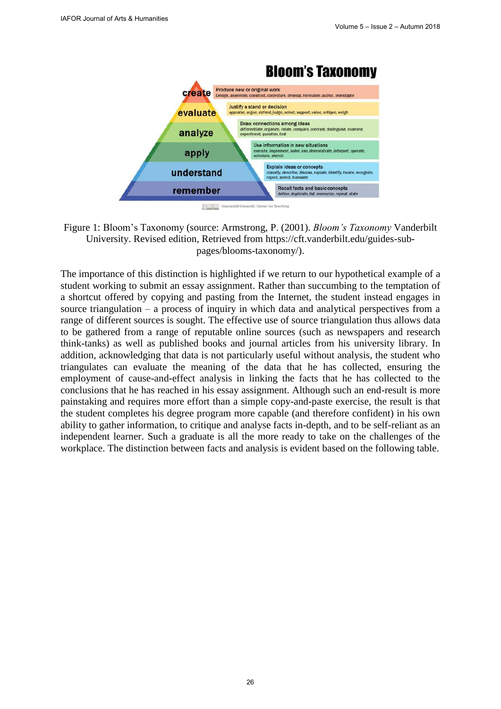

Figure 1: Bloom's Taxonomy (source: Armstrong, P. (2001). *Bloom's Taxonomy* Vanderbilt University. Revised edition, Retrieved from [https://cft.vanderbilt.edu/guides-sub](https://cft.vanderbilt.edu/guides-sub-pages/blooms-taxonomy/)[pages/blooms-taxonomy/\).](https://cft.vanderbilt.edu/guides-sub-pages/blooms-taxonomy/)

The importance of this distinction is highlighted if we return to our hypothetical example of a student working to submit an essay assignment. Rather than succumbing to the temptation of a shortcut offered by copying and pasting from the Internet, the student instead engages in source triangulation – a process of inquiry in which data and analytical perspectives from a range of different sources is sought. The effective use of source triangulation thus allows data to be gathered from a range of reputable online sources (such as newspapers and research think-tanks) as well as published books and journal articles from his university library. In addition, acknowledging that data is not particularly useful without analysis, the student who triangulates can evaluate the meaning of the data that he has collected, ensuring the employment of cause-and-effect analysis in linking the facts that he has collected to the conclusions that he has reached in his essay assignment. Although such an end-result is more painstaking and requires more effort than a simple copy-and-paste exercise, the result is that the student completes his degree program more capable (and therefore confident) in his own ability to gather information, to critique and analyse facts in-depth, and to be self-reliant as an independent learner. Such a graduate is all the more ready to take on the challenges of the workplace. The distinction between facts and analysis is evident based on the following table.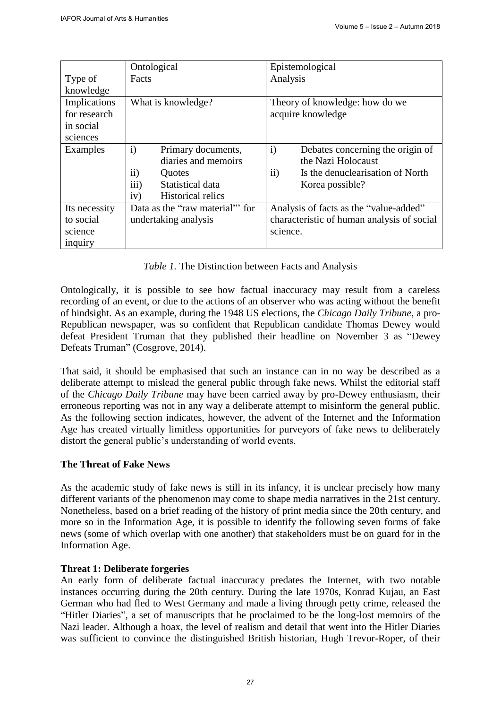|               | Ontological                        | Epistemological                                       |
|---------------|------------------------------------|-------------------------------------------------------|
| Type of       | Facts                              | Analysis                                              |
| knowledge     |                                    |                                                       |
| Implications  | What is knowledge?                 | Theory of knowledge: how do we                        |
| for research  |                                    | acquire knowledge                                     |
| in social     |                                    |                                                       |
| sciences      |                                    |                                                       |
| Examples      | $\mathbf{i}$<br>Primary documents, | $\mathbf{i}$<br>Debates concerning the origin of      |
|               | diaries and memoirs                | the Nazi Holocaust                                    |
|               | $\rm ii)$<br>Quotes                | $\ddot{\text{1}}$<br>Is the denuclearisation of North |
|               | iii)<br>Statistical data           | Korea possible?                                       |
|               | <b>Historical relics</b><br>iv)    |                                                       |
| Its necessity | Data as the "raw material" for     | Analysis of facts as the "value-added"                |
| to social     | undertaking analysis               | characteristic of human analysis of social            |
| science       |                                    | science.                                              |
| inquiry       |                                    |                                                       |

*Table 1.* The Distinction between Facts and Analysis

Ontologically, it is possible to see how factual inaccuracy may result from a careless recording of an event, or due to the actions of an observer who was acting without the benefit of hindsight. As an example, during the 1948 US elections, the *Chicago Daily Tribune*, a pro-Republican newspaper, was so confident that Republican candidate Thomas Dewey would defeat President Truman that they published their headline on November 3 as "Dewey Defeats Truman" (Cosgrove, 2014).

That said, it should be emphasised that such an instance can in no way be described as a deliberate attempt to mislead the general public through fake news. Whilst the editorial staff of the *Chicago Daily Tribune* may have been carried away by pro-Dewey enthusiasm, their erroneous reporting was not in any way a deliberate attempt to misinform the general public. As the following section indicates, however, the advent of the Internet and the Information Age has created virtually limitless opportunities for purveyors of fake news to deliberately distort the general public's understanding of world events.

# **The Threat of Fake News**

As the academic study of fake news is still in its infancy, it is unclear precisely how many different variants of the phenomenon may come to shape media narratives in the 21st century. Nonetheless, based on a brief reading of the history of print media since the 20th century, and more so in the Information Age, it is possible to identify the following seven forms of fake news (some of which overlap with one another) that stakeholders must be on guard for in the Information Age.

# **Threat 1: Deliberate forgeries**

An early form of deliberate factual inaccuracy predates the Internet, with two notable instances occurring during the 20th century. During the late 1970s, Konrad Kujau, an East German who had fled to West Germany and made a living through petty crime, released the "Hitler Diaries", a set of manuscripts that he proclaimed to be the long-lost memoirs of the Nazi leader. Although a hoax, the level of realism and detail that went into the Hitler Diaries was sufficient to convince the distinguished British historian, Hugh Trevor-Roper, of their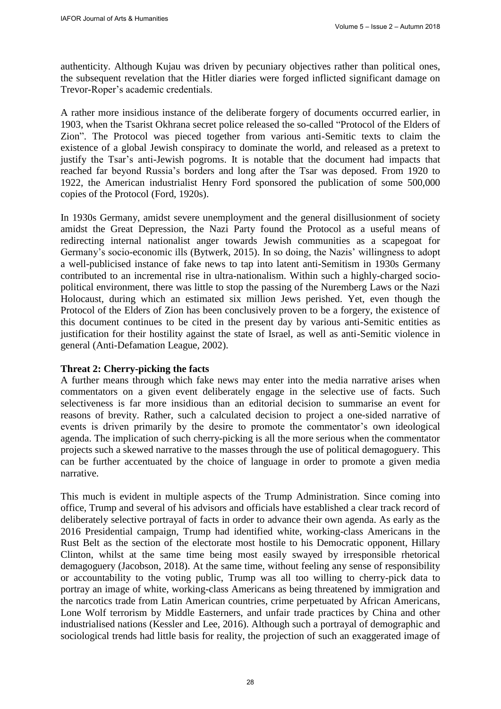authenticity. Although Kujau was driven by pecuniary objectives rather than political ones, the subsequent revelation that the Hitler diaries were forged inflicted significant damage on Trevor-Roper's academic credentials.

A rather more insidious instance of the deliberate forgery of documents occurred earlier, in 1903, when the Tsarist Okhrana secret police released the so-called "Protocol of the Elders of Zion". The Protocol was pieced together from various anti-Semitic texts to claim the existence of a global Jewish conspiracy to dominate the world, and released as a pretext to justify the Tsar's anti-Jewish pogroms. It is notable that the document had impacts that reached far beyond Russia's borders and long after the Tsar was deposed. From 1920 to 1922, the American industrialist Henry Ford sponsored the publication of some 500,000 copies of the Protocol (Ford, 1920s).

In 1930s Germany, amidst severe unemployment and the general disillusionment of society amidst the Great Depression, the Nazi Party found the Protocol as a useful means of redirecting internal nationalist anger towards Jewish communities as a scapegoat for Germany's socio-economic ills (Bytwerk, 2015). In so doing, the Nazis' willingness to adopt a well-publicised instance of fake news to tap into latent anti-Semitism in 1930s Germany contributed to an incremental rise in ultra-nationalism. Within such a highly-charged sociopolitical environment, there was little to stop the passing of the Nuremberg Laws or the Nazi Holocaust, during which an estimated six million Jews perished. Yet, even though the Protocol of the Elders of Zion has been conclusively proven to be a forgery, the existence of this document continues to be cited in the present day by various anti-Semitic entities as justification for their hostility against the state of Israel, as well as anti-Semitic violence in general (Anti-Defamation League, 2002).

## **Threat 2: Cherry-picking the facts**

A further means through which fake news may enter into the media narrative arises when commentators on a given event deliberately engage in the selective use of facts. Such selectiveness is far more insidious than an editorial decision to summarise an event for reasons of brevity. Rather, such a calculated decision to project a one-sided narrative of events is driven primarily by the desire to promote the commentator's own ideological agenda. The implication of such cherry-picking is all the more serious when the commentator projects such a skewed narrative to the masses through the use of political demagoguery. This can be further accentuated by the choice of language in order to promote a given media narrative.

This much is evident in multiple aspects of the Trump Administration. Since coming into office, Trump and several of his advisors and officials have established a clear track record of deliberately selective portrayal of facts in order to advance their own agenda. As early as the 2016 Presidential campaign, Trump had identified white, working-class Americans in the Rust Belt as the section of the electorate most hostile to his Democratic opponent, Hillary Clinton, whilst at the same time being most easily swayed by irresponsible rhetorical demagoguery (Jacobson, 2018). At the same time, without feeling any sense of responsibility or accountability to the voting public, Trump was all too willing to cherry-pick data to portray an image of white, working-class Americans as being threatened by immigration and the narcotics trade from Latin American countries, crime perpetuated by African Americans, Lone Wolf terrorism by Middle Easterners, and unfair trade practices by China and other industrialised nations (Kessler and Lee, 2016). Although such a portrayal of demographic and sociological trends had little basis for reality, the projection of such an exaggerated image of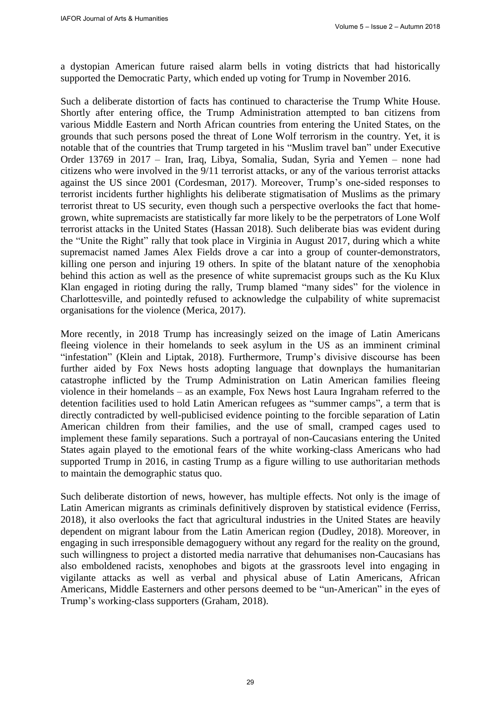a dystopian American future raised alarm bells in voting districts that had historically supported the Democratic Party, which ended up voting for Trump in November 2016.

Such a deliberate distortion of facts has continued to characterise the Trump White House. Shortly after entering office, the Trump Administration attempted to ban citizens from various Middle Eastern and North African countries from entering the United States, on the grounds that such persons posed the threat of Lone Wolf terrorism in the country. Yet, it is notable that of the countries that Trump targeted in his "Muslim travel ban" under Executive Order 13769 in 2017 – Iran, Iraq, Libya, Somalia, Sudan, Syria and Yemen – none had citizens who were involved in the 9/11 terrorist attacks, or any of the various terrorist attacks against the US since 2001 (Cordesman, 2017). Moreover, Trump's one-sided responses to terrorist incidents further highlights his deliberate stigmatisation of Muslims as the primary terrorist threat to US security, even though such a perspective overlooks the fact that homegrown, white supremacists are statistically far more likely to be the perpetrators of Lone Wolf terrorist attacks in the United States (Hassan 2018). Such deliberate bias was evident during the "Unite the Right" rally that took place in Virginia in August 2017, during which a white supremacist named James Alex Fields drove a car into a group of counter-demonstrators, killing one person and injuring 19 others. In spite of the blatant nature of the xenophobia behind this action as well as the presence of white supremacist groups such as the Ku Klux Klan engaged in rioting during the rally, Trump blamed "many sides" for the violence in Charlottesville, and pointedly refused to acknowledge the culpability of white supremacist organisations for the violence (Merica, 2017).

More recently, in 2018 Trump has increasingly seized on the image of Latin Americans fleeing violence in their homelands to seek asylum in the US as an imminent criminal "infestation" [\(Klein](https://edition.cnn.com/profiles/betsy-klein) and [Liptak,](https://edition.cnn.com/profiles/kevin-liptak-profile) 2018). Furthermore, Trump's divisive discourse has been further aided by Fox News hosts adopting language that downplays the humanitarian catastrophe inflicted by the Trump Administration on Latin American families fleeing violence in their homelands – as an example, Fox News host Laura Ingraham referred to the detention facilities used to hold Latin American refugees as "summer camps", a term that is directly contradicted by well-publicised evidence pointing to the forcible separation of Latin American children from their families, and the use of small, cramped cages used to implement these family separations. Such a portrayal of non-Caucasians entering the United States again played to the emotional fears of the white working-class Americans who had supported Trump in 2016, in casting Trump as a figure willing to use authoritarian methods to maintain the demographic status quo.

Such deliberate distortion of news, however, has multiple effects. Not only is the image of Latin American migrants as criminals definitively disproven by statistical evidence (Ferriss, 2018), it also overlooks the fact that agricultural industries in the United States are heavily dependent on migrant labour from the Latin American region (Dudley, 2018). Moreover, in engaging in such irresponsible demagoguery without any regard for the reality on the ground, such willingness to project a distorted media narrative that dehumanises non-Caucasians has also emboldened racists, xenophobes and bigots at the grassroots level into engaging in vigilante attacks as well as verbal and physical abuse of Latin Americans, African Americans, Middle Easterners and other persons deemed to be "un-American" in the eyes of Trump's working-class supporters (Graham, 2018).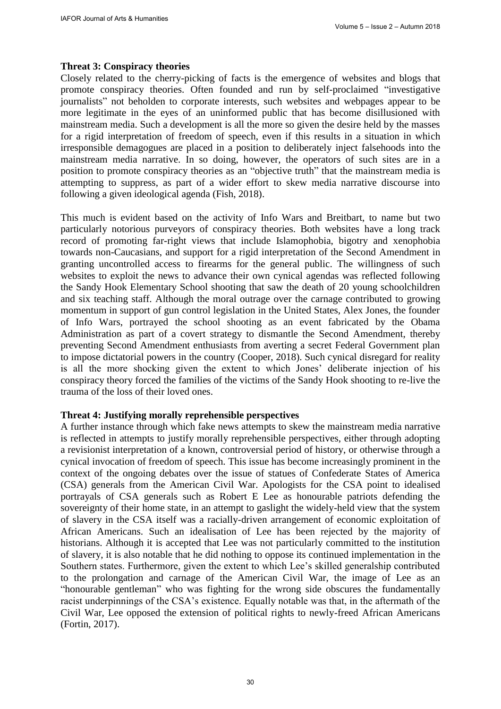## **Threat 3: Conspiracy theories**

Closely related to the cherry-picking of facts is the emergence of websites and blogs that promote conspiracy theories. Often founded and run by self-proclaimed "investigative journalists" not beholden to corporate interests, such websites and webpages appear to be more legitimate in the eyes of an uninformed public that has become disillusioned with mainstream media. Such a development is all the more so given the desire held by the masses for a rigid interpretation of freedom of speech, even if this results in a situation in which irresponsible demagogues are placed in a position to deliberately inject falsehoods into the mainstream media narrative. In so doing, however, the operators of such sites are in a position to promote conspiracy theories as an "objective truth" that the mainstream media is attempting to suppress, as part of a wider effort to skew media narrative discourse into following a given ideological agenda (Fish, 2018).

This much is evident based on the activity of Info Wars and Breitbart, to name but two particularly notorious purveyors of conspiracy theories. Both websites have a long track record of promoting far-right views that include Islamophobia, bigotry and xenophobia towards non-Caucasians, and support for a rigid interpretation of the Second Amendment in granting uncontrolled access to firearms for the general public. The willingness of such websites to exploit the news to advance their own cynical agendas was reflected following the Sandy Hook Elementary School shooting that saw the death of 20 young schoolchildren and six teaching staff. Although the moral outrage over the carnage contributed to growing momentum in support of gun control legislation in the United States, Alex Jones, the founder of Info Wars, portrayed the school shooting as an event fabricated by the Obama Administration as part of a covert strategy to dismantle the Second Amendment, thereby preventing Second Amendment enthusiasts from averting a secret Federal Government plan to impose dictatorial powers in the country (Cooper, 2018). Such cynical disregard for reality is all the more shocking given the extent to which Jones' deliberate injection of his conspiracy theory forced the families of the victims of the Sandy Hook shooting to re-live the trauma of the loss of their loved ones.

### **Threat 4: Justifying morally reprehensible perspectives**

A further instance through which fake news attempts to skew the mainstream media narrative is reflected in attempts to justify morally reprehensible perspectives, either through adopting a revisionist interpretation of a known, controversial period of history, or otherwise through a cynical invocation of freedom of speech. This issue has become increasingly prominent in the context of the ongoing debates over the issue of statues of Confederate States of America (CSA) generals from the American Civil War. Apologists for the CSA point to idealised portrayals of CSA generals such as Robert E Lee as honourable patriots defending the sovereignty of their home state, in an attempt to gaslight the widely-held view that the system of slavery in the CSA itself was a racially-driven arrangement of economic exploitation of African Americans. Such an idealisation of Lee has been rejected by the majority of historians. Although it is accepted that Lee was not particularly committed to the institution of slavery, it is also notable that he did nothing to oppose its continued implementation in the Southern states. Furthermore, given the extent to which Lee's skilled generalship contributed to the prolongation and carnage of the American Civil War, the image of Lee as an "honourable gentleman" who was fighting for the wrong side obscures the fundamentally racist underpinnings of the CSA's existence. Equally notable was that, in the aftermath of the Civil War, Lee opposed the extension of political rights to newly-freed African Americans (Fortin, 2017).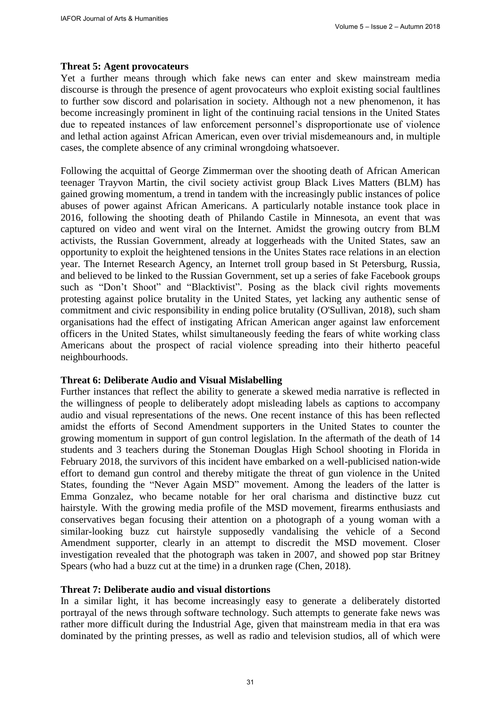## **Threat 5: Agent provocateurs**

Yet a further means through which fake news can enter and skew mainstream media discourse is through the presence of agent provocateurs who exploit existing social faultlines to further sow discord and polarisation in society. Although not a new phenomenon, it has become increasingly prominent in light of the continuing racial tensions in the United States due to repeated instances of law enforcement personnel's disproportionate use of violence and lethal action against African American, even over trivial misdemeanours and, in multiple cases, the complete absence of any criminal wrongdoing whatsoever.

Following the acquittal of George Zimmerman over the shooting death of African American teenager Trayvon Martin, the civil society activist group Black Lives Matters (BLM) has gained growing momentum, a trend in tandem with the increasingly public instances of police abuses of power against African Americans. A particularly notable instance took place in 2016, following the shooting death of Philando Castile in Minnesota, an event that was captured on video and went viral on the Internet. Amidst the growing outcry from BLM activists, the Russian Government, already at loggerheads with the United States, saw an opportunity to exploit the heightened tensions in the Unites States race relations in an election year. The Internet Research Agency, an Internet troll group based in St Petersburg, Russia, and believed to be linked to the Russian Government, set up a series of fake Facebook groups such as "Don't Shoot" and "Blacktivist". Posing as the black civil rights movements protesting against police brutality in the United States, yet lacking any authentic sense of commitment and civic responsibility in ending police brutality (O'Sullivan, 2018), such sham organisations had the effect of instigating African American anger against law enforcement officers in the United States, whilst simultaneously feeding the fears of white working class Americans about the prospect of racial violence spreading into their hitherto peaceful neighbourhoods.

## **Threat 6: Deliberate Audio and Visual Mislabelling**

Further instances that reflect the ability to generate a skewed media narrative is reflected in the willingness of people to deliberately adopt misleading labels as captions to accompany audio and visual representations of the news. One recent instance of this has been reflected amidst the efforts of Second Amendment supporters in the United States to counter the growing momentum in support of gun control legislation. In the aftermath of the death of 14 students and 3 teachers during the Stoneman Douglas High School shooting in Florida in February 2018, the survivors of this incident have embarked on a well-publicised nation-wide effort to demand gun control and thereby mitigate the threat of gun violence in the United States, founding the "Never Again MSD" movement. Among the leaders of the latter is Emma Gonzalez, who became notable for her oral charisma and distinctive buzz cut hairstyle. With the growing media profile of the MSD movement, firearms enthusiasts and conservatives began focusing their attention on a photograph of a young woman with a similar-looking buzz cut hairstyle supposedly vandalising the vehicle of a Second Amendment supporter, clearly in an attempt to discredit the MSD movement. Closer investigation revealed that the photograph was taken in 2007, and showed pop star Britney Spears (who had a buzz cut at the time) in a drunken rage (Chen, 2018).

### **Threat 7: Deliberate audio and visual distortions**

In a similar light, it has become increasingly easy to generate a deliberately distorted portrayal of the news through software technology. Such attempts to generate fake news was rather more difficult during the Industrial Age, given that mainstream media in that era was dominated by the printing presses, as well as radio and television studios, all of which were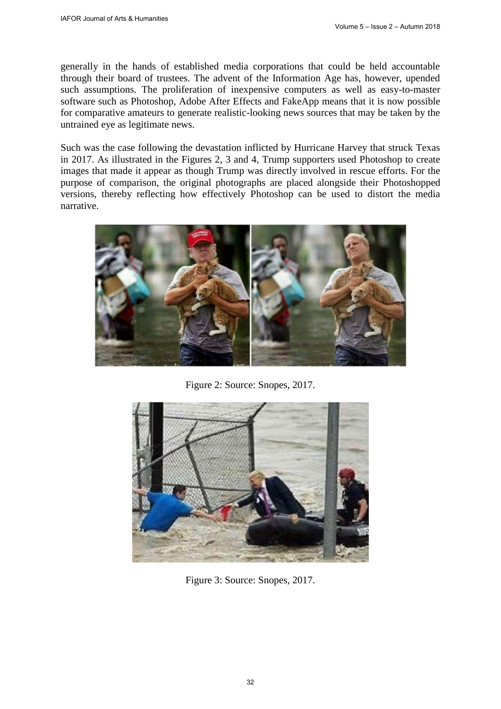generally in the hands of established media corporations that could be held accountable through their board of trustees. The advent of the Information Age has, however, upended such assumptions. The proliferation of inexpensive computers as well as easy-to-master software such as Photoshop, Adobe After Effects and FakeApp means that it is now possible for comparative amateurs to generate realistic-looking news sources that may be taken by the untrained eye as legitimate news.

Such was the case following the devastation inflicted by Hurricane Harvey that struck Texas in 2017. As illustrated in the Figures 2, 3 and 4, Trump supporters used Photoshop to create images that made it appear as though Trump was directly involved in rescue efforts. For the purpose of comparison, the original photographs are placed alongside their Photoshopped versions, thereby reflecting how effectively Photoshop can be used to distort the media narrative.



Figure 2: Source: Snopes, 2017.

![](_page_9_Picture_6.jpeg)

Figure 3: Source: Snopes, 2017.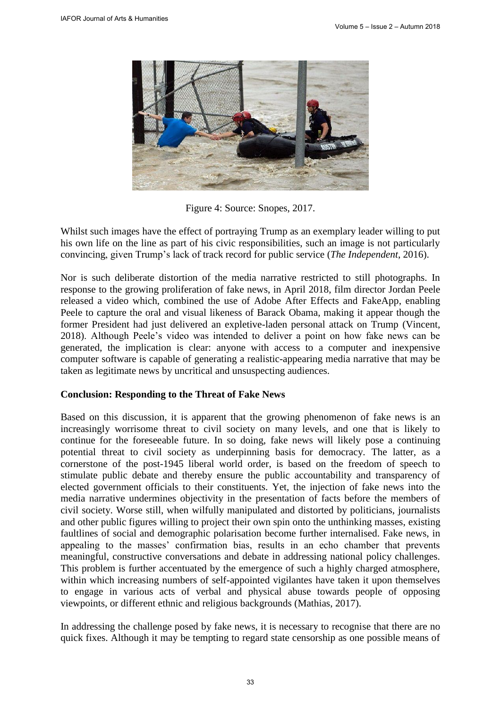![](_page_10_Picture_2.jpeg)

Figure 4: Source: Snopes, 2017.

Whilst such images have the effect of portraying Trump as an exemplary leader willing to put his own life on the line as part of his civic responsibilities, such an image is not particularly convincing, given Trump's lack of track record for public service (*The Independent*, 2016).

Nor is such deliberate distortion of the media narrative restricted to still photographs. In response to the growing proliferation of fake news, in April 2018, film director Jordan Peele released a video which, combined the use of Adobe After Effects and FakeApp, enabling Peele to capture the oral and visual likeness of Barack Obama, making it appear though the former President had just delivered an expletive-laden personal attack on Trump (Vincent, 2018). Although Peele's video was intended to deliver a point on how fake news can be generated, the implication is clear: anyone with access to a computer and inexpensive computer software is capable of generating a realistic-appearing media narrative that may be taken as legitimate news by uncritical and unsuspecting audiences.

#### **Conclusion: Responding to the Threat of Fake News**

Based on this discussion, it is apparent that the growing phenomenon of fake news is an increasingly worrisome threat to civil society on many levels, and one that is likely to continue for the foreseeable future. In so doing, fake news will likely pose a continuing potential threat to civil society as underpinning basis for democracy. The latter, as a cornerstone of the post-1945 liberal world order, is based on the freedom of speech to stimulate public debate and thereby ensure the public accountability and transparency of elected government officials to their constituents. Yet, the injection of fake news into the media narrative undermines objectivity in the presentation of facts before the members of civil society. Worse still, when wilfully manipulated and distorted by politicians, journalists and other public figures willing to project their own spin onto the unthinking masses, existing faultlines of social and demographic polarisation become further internalised. Fake news, in appealing to the masses' confirmation bias, results in an echo chamber that prevents meaningful, constructive conversations and debate in addressing national policy challenges. This problem is further accentuated by the emergence of such a highly charged atmosphere, within which increasing numbers of self-appointed vigilantes have taken it upon themselves to engage in various acts of verbal and physical abuse towards people of opposing viewpoints, or different ethnic and religious backgrounds (Mathias, 2017).

In addressing the challenge posed by fake news, it is necessary to recognise that there are no quick fixes. Although it may be tempting to regard state censorship as one possible means of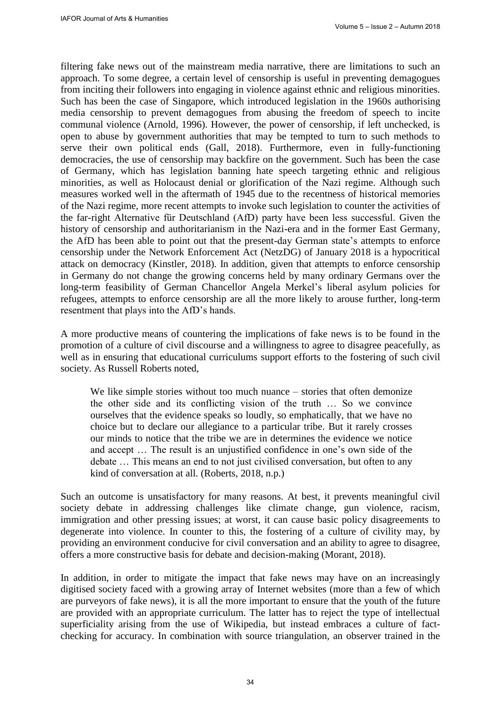filtering fake news out of the mainstream media narrative, there are limitations to such an approach. To some degree, a certain level of censorship is useful in preventing demagogues from inciting their followers into engaging in violence against ethnic and religious minorities. Such has been the case of Singapore, which introduced legislation in the 1960s authorising media censorship to prevent demagogues from abusing the freedom of speech to incite communal violence (Arnold, 1996). However, the power of censorship, if left unchecked, is open to abuse by government authorities that may be tempted to turn to such methods to serve their own political ends (Gall, 2018). Furthermore, even in fully-functioning democracies, the use of censorship may backfire on the government. Such has been the case of Germany, which has legislation banning hate speech targeting ethnic and religious minorities, as well as Holocaust denial or glorification of the Nazi regime. Although such measures worked well in the aftermath of 1945 due to the recentness of historical memories of the Nazi regime, more recent attempts to invoke such legislation to counter the activities of the far-right Alternative für Deutschland (AfD) party have been less successful. Given the history of censorship and authoritarianism in the Nazi-era and in the former East Germany, the AfD has been able to point out that the present-day German state's attempts to enforce censorship under the Network Enforcement Act (NetzDG) of January 2018 is a hypocritical attack on democracy (Kinstler, 2018). In addition, given that attempts to enforce censorship in Germany do not change the growing concerns held by many ordinary Germans over the long-term feasibility of German Chancellor Angela Merkel's liberal asylum policies for refugees, attempts to enforce censorship are all the more likely to arouse further, long-term resentment that plays into the AfD's hands.

A more productive means of countering the implications of fake news is to be found in the promotion of a culture of civil discourse and a willingness to agree to disagree peacefully, as well as in ensuring that educational curriculums support efforts to the fostering of such civil society. As Russell Roberts noted,

We like simple stories without too much nuance – stories that often demonize the other side and its conflicting vision of the truth … So we convince ourselves that the evidence speaks so loudly, so emphatically, that we have no choice but to declare our allegiance to a particular tribe. But it rarely crosses our minds to notice that the tribe we are in determines the evidence we notice and accept … The result is an unjustified confidence in one's own side of the debate … This means an end to not just civilised conversation, but often to any kind of conversation at all. (Roberts, 2018, n.p.)

Such an outcome is unsatisfactory for many reasons. At best, it prevents meaningful civil society debate in addressing challenges like climate change, gun violence, racism, immigration and other pressing issues; at worst, it can cause basic policy disagreements to degenerate into violence. In counter to this, the fostering of a culture of civility may, by providing an environment conducive for civil conversation and an ability to agree to disagree, offers a more constructive basis for debate and decision-making (Morant, 2018).

In addition, in order to mitigate the impact that fake news may have on an increasingly digitised society faced with a growing array of Internet websites (more than a few of which are purveyors of fake news), it is all the more important to ensure that the youth of the future are provided with an appropriate curriculum. The latter has to reject the type of intellectual superficiality arising from the use of Wikipedia, but instead embraces a culture of factchecking for accuracy. In combination with source triangulation, an observer trained in the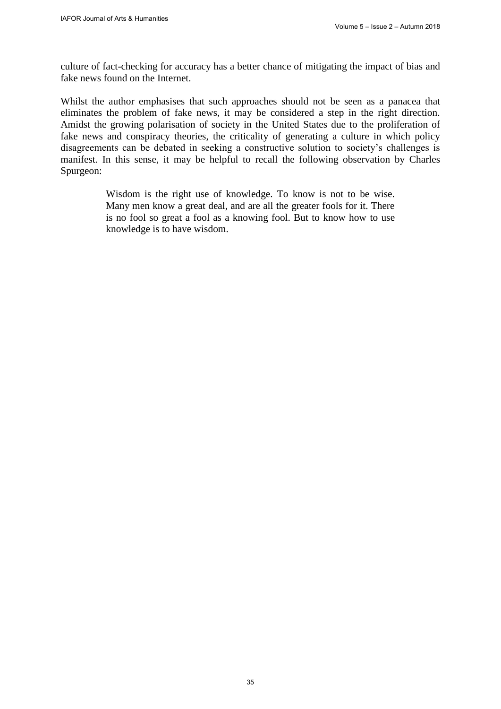culture of fact-checking for accuracy has a better chance of mitigating the impact of bias and fake news found on the Internet.

Whilst the author emphasises that such approaches should not be seen as a panacea that eliminates the problem of fake news, it may be considered a step in the right direction. Amidst the growing polarisation of society in the United States due to the proliferation of fake news and conspiracy theories, the criticality of generating a culture in which policy disagreements can be debated in seeking a constructive solution to society's challenges is manifest. In this sense, it may be helpful to recall the following observation by Charles Spurgeon:

> Wisdom is the right use of knowledge. To know is not to be wise. Many men know a great deal, and are all the greater fools for it. There is no fool so great a fool as a knowing fool. But to know how to use knowledge is to have wisdom.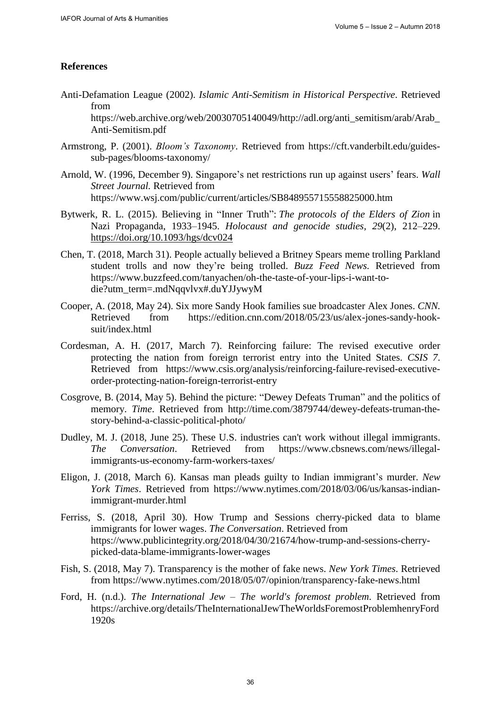### **References**

Anti-Defamation League (2002). *Islamic Anti-Semitism in Historical Perspective*. Retrieved from

[https://web.archive.org/web/20030705140049/http://ad](https://web.archive.org/web/20030705140049/)[l.org/anti\\_semitism/arab/Arab\\_](http://adl.org/anti_semitism/arab/Arab_Anti-Semitism.pdf) [Anti-Semitism.pdf](http://adl.org/anti_semitism/arab/Arab_Anti-Semitism.pdf) 

- Armstrong, P. (2001). *Bloom's Taxonomy*. Retrieved from [https://cft.vanderbilt.edu/guides](https://cft.vanderbilt.edu/guides-sub-pages/blooms-taxonomy/)[sub-pages/blooms-taxonomy/](https://cft.vanderbilt.edu/guides-sub-pages/blooms-taxonomy/)
- Arnold, W. (1996, December 9). Singapore's net restrictions run up against users' fears. *Wall Street Journal.* Retrieved from <https://www.wsj.com/public/current/articles/SB848955715558825000.htm>
- Bytwerk, [R.](javascript:;) L. (2015). Believing in "Inner Truth": *The protocols of the Elders of Zion* in Nazi Propaganda, 1933–1945. *Holocaust and genocide studies, 29*(2), 212–229. <https://doi.org/10.1093/hgs/dcv024>
- Chen, T. (2018, March 31). People actually believed a Britney Spears meme trolling Parkland student trolls and now they're being trolled. *Buzz Feed News.* Retrieved from [https://www.buzzfeed.com/tanyachen/oh-the-taste-of-your-lips-i-want-to](https://www.buzzfeed.com/tanyachen/oh-the-taste-of-your-lips-i-want-to-die?utm_term=.mdNqqvlvx#.duYJJywyM)[die?utm\\_term=.mdNqqvlvx#.duYJJywyM](https://www.buzzfeed.com/tanyachen/oh-the-taste-of-your-lips-i-want-to-die?utm_term=.mdNqqvlvx#.duYJJywyM)
- Cooper, A. (2018, May 24). Six more Sandy Hook families sue broadcaster Alex Jones. *CNN.* Retrieved from [https://edition.cnn.com/2018/05/23/us/alex-jones-sandy-hook](https://edition.cnn.com/2018/05/23/us/alex-jones-sandy-hook-suit/index.html)[suit/index.html](https://edition.cnn.com/2018/05/23/us/alex-jones-sandy-hook-suit/index.html)
- Cordesman, A. H. (2017, March 7). Reinforcing failure: The revised executive order protecting the nation from foreign terrorist entry into the United States. *CSIS 7*. Retrieved from [https://www.csis.org/analysis/reinforcing-failure-revised-executive](https://www.csis.org/analysis/reinforcing-failure-revised-executive-order-protecting-nation-foreign-terrorist-entry)[order-protecting-nation-foreign-terrorist-entry](https://www.csis.org/analysis/reinforcing-failure-revised-executive-order-protecting-nation-foreign-terrorist-entry)
- Cosgrove, B. (2014, May 5). Behind the picture: "Dewey Defeats Truman" and the politics of memory. *Time*. Retrieved from [http://time.com/3879744/dewey-defeats-truman-the](http://time.com/3879744/dewey-defeats-truman-the-story-behind-a-classic-political-photo/)[story-behind-a-classic-political-photo/](http://time.com/3879744/dewey-defeats-truman-the-story-behind-a-classic-political-photo/)
- Dudley, M. J. (2018, June 25). These U.S. industries can't work without illegal immigrants. *The Conversation*. Retrieved from [https://www.cbsnews.com/news/illegal](https://www.cbsnews.com/news/illegal-immigrants-us-economy-farm-workers-taxes/)[immigrants-us-economy-farm-workers-taxes/](https://www.cbsnews.com/news/illegal-immigrants-us-economy-farm-workers-taxes/)
- Eligon, J. (2018, March 6). Kansas man pleads guilty to Indian immigrant's murder. *New York Times*. Retrieved from [https://www.nytimes.com/2018/03/06/us/kansas-indian](https://www.nytimes.com/2018/03/06/us/kansas-indian-immigrant-murder.html)[immigrant-murder.html](https://www.nytimes.com/2018/03/06/us/kansas-indian-immigrant-murder.html)
- Ferriss, S. (2018, April 30). How Trump and Sessions cherry-picked data to blame immigrants for lower wages. *The Conversation*. Retrieved from [https://www.publicintegrity.org/2018/04/30/21674/how-trump-and-sessions-cherry](https://www.publicintegrity.org/2018/04/30/21674/how-trump-and-sessions-cherry-picked-data-blame-immigrants-lower-wages)[picked-data-blame-immigrants-lower-wages](https://www.publicintegrity.org/2018/04/30/21674/how-trump-and-sessions-cherry-picked-data-blame-immigrants-lower-wages)
- Fish, S. (2018, May 7). Transparency is the mother of fake news. *New York Times*. Retrieved from<https://www.nytimes.com/2018/05/07/opinion/transparency-fake-news.html>
- Ford, H. (n.d.). *The International Jew The world's foremost problem*. Retrieved from [https://archive.org/details/TheInternationalJewTheWorldsForemostProblemhenryFord](https://archive.org/details/TheInternationalJewTheWorldsForemostProblemhenryFord1920s) 1920s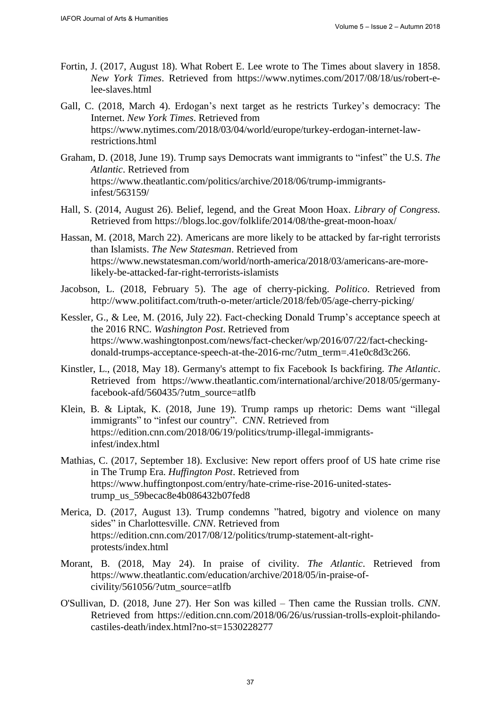- Fortin, J. (2017, August 18). What Robert E. Lee wrote to The Times about slavery in 1858. *New York Times*. Retrieved from [https://www.nytimes.com/2017/08/18/us/robert-e](https://www.nytimes.com/2017/08/18/us/robert-e-lee-slaves.html)[lee-slaves.html](https://www.nytimes.com/2017/08/18/us/robert-e-lee-slaves.html)
- [Gall,](http://www.nytimes.com/by/carlotta-gall) C. (2018, March 4). Erdogan's next target as he restricts Turkey's democracy: The Internet. *New York Times*. Retrieved from [https://www.nytimes.com/2018/03/04/world/europe/turkey-erdogan-internet-law](https://www.nytimes.com/2018/03/04/world/europe/turkey-erdogan-internet-law-restrictions.html)[restrictions.html](https://www.nytimes.com/2018/03/04/world/europe/turkey-erdogan-internet-law-restrictions.html)
- Graham, D. (2018, June 19). Trump says Democrats want immigrants to "infest" the U.S. *The Atlantic*. Retrieved from [https://www.theatlantic.com/politics/archive/2018/06/trump-immigrants](https://www.theatlantic.com/politics/archive/2018/06/trump-immigrants-infest/563159/)[infest/563159/](https://www.theatlantic.com/politics/archive/2018/06/trump-immigrants-infest/563159/)
- Hall, S. (2014, August 26). Belief, legend, and the Great Moon Hoax. *Library of Congress.* Retrieved from <https://blogs.loc.gov/folklife/2014/08/the-great-moon-hoax/>
- Hassan, M. (2018, March 22). Americans are more likely to be attacked by far-right terrorists than Islamists. *The New Statesman*. Retrieved from [https://www.newstatesman.com/world/north-america/2018/03/americans-are-more](https://www.newstatesman.com/world/north-america/2018/03/americans-are-more-likely-be-attacked-far-right-terrorists-islamists)[likely-be-attacked-far-right-terrorists-islamists](https://www.newstatesman.com/world/north-america/2018/03/americans-are-more-likely-be-attacked-far-right-terrorists-islamists)
- Jacobson, L. (2018, February 5). The age of cherry-picking. *Politico*. Retrieved from <http://www.politifact.com/truth-o-meter/article/2018/feb/05/age-cherry-picking/>
- Kessler, G., & Lee, [M.](https://www.washingtonpost.com/people/michelle-ye-hee-lee/) (2016, July 22). Fact-checking Donald Trump's acceptance speech at the 2016 RNC. *Washington Post*. Retrieved from [https://www.washingtonpost.com/news/fact-checker/wp/2016/07/22/fact-checking](https://www.washingtonpost.com/news/fact-checker/wp/2016/07/22/fact-checking-donald-trumps-acceptance-speech-at-the-2016-rnc/?utm_term=.41e0c8d3c266)[donald-trumps-acceptance-speech-at-the-2016-rnc/?utm\\_term=.41e0c8d3c266.](https://www.washingtonpost.com/news/fact-checker/wp/2016/07/22/fact-checking-donald-trumps-acceptance-speech-at-the-2016-rnc/?utm_term=.41e0c8d3c266)
- Kinstler, L., (2018, May 18). Germany's attempt to fix Facebook Is backfiring. *The Atlantic*. Retrieved from [https://www.theatlantic.com/international/archive/2018/05/germany](https://www.theatlantic.com/international/archive/2018/05/germany-facebook-afd/560435/?utm_source=atlfb)[facebook-afd/560435/?utm\\_source=atlfb](https://www.theatlantic.com/international/archive/2018/05/germany-facebook-afd/560435/?utm_source=atlfb)
- Klein, [B. &](https://edition.cnn.com/profiles/betsy-klein) Liptak, K. (2018, June 19). Trump ramps up rhetoric: Dems want "illegal immigrants" to "infest our country". *CNN*. Retrieved from [https://edition.cnn.com/2018/06/19/politics/trump-illegal-immigrants](https://edition.cnn.com/2018/06/19/politics/trump-illegal-immigrants-infest/index.html)[infest/index.html](https://edition.cnn.com/2018/06/19/politics/trump-illegal-immigrants-infest/index.html)
- Mathias, C. (2017, September 18). Exclusive: New report offers proof of US hate crime rise in The Trump Era. *Huffington Post*. Retrieved from [https://www.huffingtonpost.com/entry/hate-crime-rise-2016-united-states](https://www.huffingtonpost.com/entry/hate-crime-rise-2016-united-states-trump_us_59becac8e4b086432b07fed8)[trump\\_us\\_59becac8e4b086432b07fed8](https://www.huffingtonpost.com/entry/hate-crime-rise-2016-united-states-trump_us_59becac8e4b086432b07fed8)
- Merica, D. (2017, August 13). Trump condemns "hatred, bigotry and violence on many sides" in Charlottesville. *CNN*. Retrieved from [https://edition.cnn.com/2017/08/12/politics/trump-statement-alt-right](https://edition.cnn.com/2017/08/12/politics/trump-statement-alt-right-protests/index.html)[protests/index.html](https://edition.cnn.com/2017/08/12/politics/trump-statement-alt-right-protests/index.html)
- Morant, B. (2018, May 24). In praise of civility. *The Atlantic*. Retrieved from [https://www.theatlantic.com/education/archive/2018/05/in-praise-of](https://www.theatlantic.com/education/archive/2018/05/in-praise-of-civility/561056/?utm_source=atlfb)[civility/561056/?utm\\_source=atlfb](https://www.theatlantic.com/education/archive/2018/05/in-praise-of-civility/561056/?utm_source=atlfb)
- O'Sullivan, D. (2018, June 27). Her Son was killed Then came the Russian trolls. *CNN*. Retrieved from [https://edition.cnn.com/2018/06/26/us/russian-trolls-exploit-philando](https://edition.cnn.com/2018/06/26/us/russian-trolls-exploit-philando-castiles-death/index.html?no-st=1530228277)[castiles-death/index.html?no-st=1530228277](https://edition.cnn.com/2018/06/26/us/russian-trolls-exploit-philando-castiles-death/index.html?no-st=1530228277)